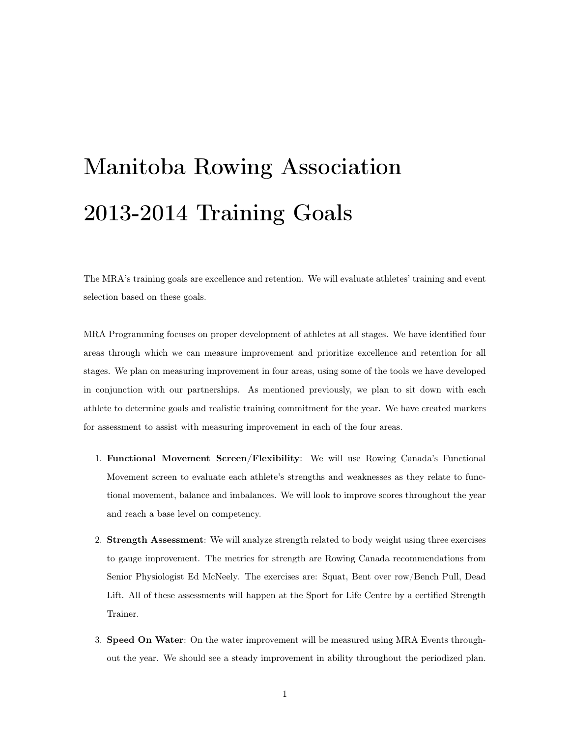## Manitoba Rowing Association 2013-2014 Training Goals

The MRA's training goals are excellence and retention. We will evaluate athletes' training and event selection based on these goals.

MRA Programming focuses on proper development of athletes at all stages. We have identified four areas through which we can measure improvement and prioritize excellence and retention for all stages. We plan on measuring improvement in four areas, using some of the tools we have developed in conjunction with our partnerships. As mentioned previously, we plan to sit down with each athlete to determine goals and realistic training commitment for the year. We have created markers for assessment to assist with measuring improvement in each of the four areas.

- 1. Functional Movement Screen/Flexibility: We will use Rowing Canada's Functional Movement screen to evaluate each athlete's strengths and weaknesses as they relate to functional movement, balance and imbalances. We will look to improve scores throughout the year and reach a base level on competency.
- 2. Strength Assessment: We will analyze strength related to body weight using three exercises to gauge improvement. The metrics for strength are Rowing Canada recommendations from Senior Physiologist Ed McNeely. The exercises are: Squat, Bent over row/Bench Pull, Dead Lift. All of these assessments will happen at the Sport for Life Centre by a certified Strength Trainer.
- 3. Speed On Water: On the water improvement will be measured using MRA Events throughout the year. We should see a steady improvement in ability throughout the periodized plan.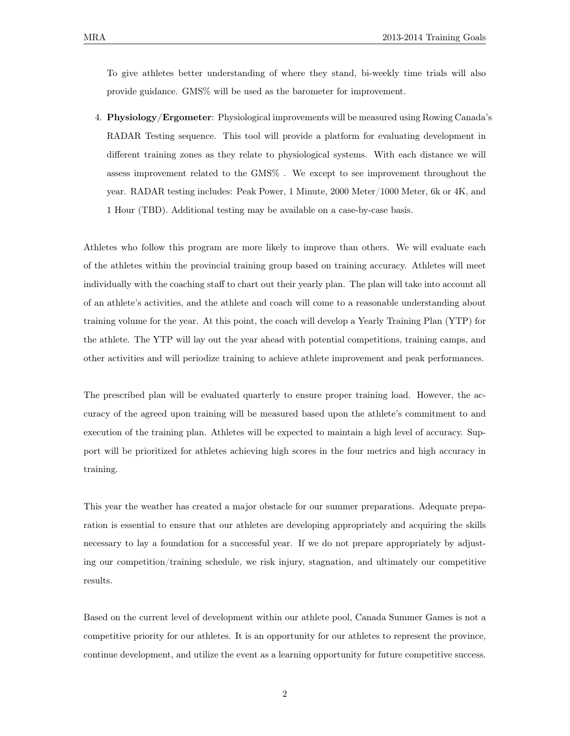To give athletes better understanding of where they stand, bi-weekly time trials will also provide guidance. GMS% will be used as the barometer for improvement.

4. Physiology/Ergometer: Physiological improvements will be measured using Rowing Canada's RADAR Testing sequence. This tool will provide a platform for evaluating development in different training zones as they relate to physiological systems. With each distance we will assess improvement related to the GMS% . We except to see improvement throughout the year. RADAR testing includes: Peak Power, 1 Minute, 2000 Meter/1000 Meter, 6k or 4K, and 1 Hour (TBD). Additional testing may be available on a case-by-case basis.

Athletes who follow this program are more likely to improve than others. We will evaluate each of the athletes within the provincial training group based on training accuracy. Athletes will meet individually with the coaching staff to chart out their yearly plan. The plan will take into account all of an athlete's activities, and the athlete and coach will come to a reasonable understanding about training volume for the year. At this point, the coach will develop a Yearly Training Plan (YTP) for the athlete. The YTP will lay out the year ahead with potential competitions, training camps, and other activities and will periodize training to achieve athlete improvement and peak performances.

The prescribed plan will be evaluated quarterly to ensure proper training load. However, the accuracy of the agreed upon training will be measured based upon the athlete's commitment to and execution of the training plan. Athletes will be expected to maintain a high level of accuracy. Support will be prioritized for athletes achieving high scores in the four metrics and high accuracy in training.

This year the weather has created a major obstacle for our summer preparations. Adequate preparation is essential to ensure that our athletes are developing appropriately and acquiring the skills necessary to lay a foundation for a successful year. If we do not prepare appropriately by adjusting our competition/training schedule, we risk injury, stagnation, and ultimately our competitive results.

Based on the current level of development within our athlete pool, Canada Summer Games is not a competitive priority for our athletes. It is an opportunity for our athletes to represent the province, continue development, and utilize the event as a learning opportunity for future competitive success.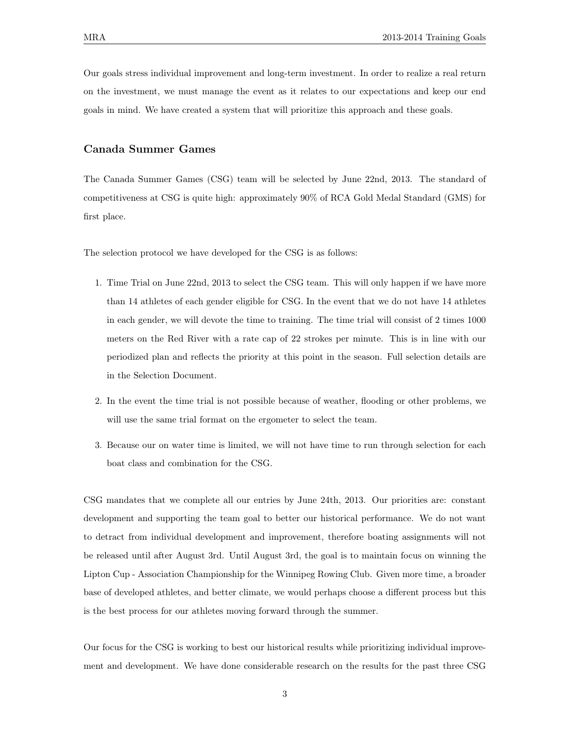Our goals stress individual improvement and long-term investment. In order to realize a real return on the investment, we must manage the event as it relates to our expectations and keep our end goals in mind. We have created a system that will prioritize this approach and these goals.

## Canada Summer Games

The Canada Summer Games (CSG) team will be selected by June 22nd, 2013. The standard of competitiveness at CSG is quite high: approximately 90% of RCA Gold Medal Standard (GMS) for first place.

The selection protocol we have developed for the CSG is as follows:

- 1. Time Trial on June 22nd, 2013 to select the CSG team. This will only happen if we have more than 14 athletes of each gender eligible for CSG. In the event that we do not have 14 athletes in each gender, we will devote the time to training. The time trial will consist of 2 times 1000 meters on the Red River with a rate cap of 22 strokes per minute. This is in line with our periodized plan and reflects the priority at this point in the season. Full selection details are in the Selection Document.
- 2. In the event the time trial is not possible because of weather, flooding or other problems, we will use the same trial format on the ergometer to select the team.
- 3. Because our on water time is limited, we will not have time to run through selection for each boat class and combination for the CSG.

CSG mandates that we complete all our entries by June 24th, 2013. Our priorities are: constant development and supporting the team goal to better our historical performance. We do not want to detract from individual development and improvement, therefore boating assignments will not be released until after August 3rd. Until August 3rd, the goal is to maintain focus on winning the Lipton Cup - Association Championship for the Winnipeg Rowing Club. Given more time, a broader base of developed athletes, and better climate, we would perhaps choose a different process but this is the best process for our athletes moving forward through the summer.

Our focus for the CSG is working to best our historical results while prioritizing individual improvement and development. We have done considerable research on the results for the past three CSG